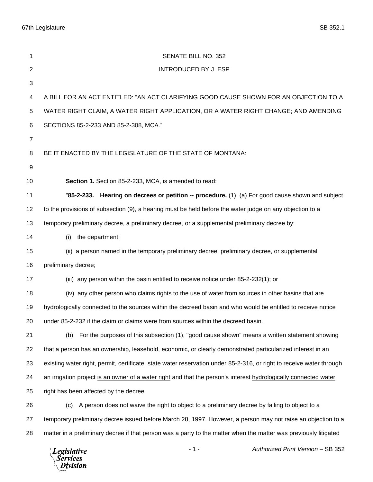67th Legislature SB 352.1

| 1              | SENATE BILL NO. 352                                                                                                  |
|----------------|----------------------------------------------------------------------------------------------------------------------|
| $\mathbf{2}$   | <b>INTRODUCED BY J. ESP</b>                                                                                          |
| $\sqrt{3}$     |                                                                                                                      |
| 4              | A BILL FOR AN ACT ENTITLED: "AN ACT CLARIFYING GOOD CAUSE SHOWN FOR AN OBJECTION TO A                                |
| 5              | WATER RIGHT CLAIM, A WATER RIGHT APPLICATION, OR A WATER RIGHT CHANGE; AND AMENDING                                  |
| 6              | SECTIONS 85-2-233 AND 85-2-308, MCA."                                                                                |
| $\overline{7}$ |                                                                                                                      |
| 8              | BE IT ENACTED BY THE LEGISLATURE OF THE STATE OF MONTANA:                                                            |
| 9              |                                                                                                                      |
| 10             | Section 1. Section 85-2-233, MCA, is amended to read:                                                                |
| 11             | "85-2-233. Hearing on decrees or petition -- procedure. (1) (a) For good cause shown and subject                     |
| 12             | to the provisions of subsection (9), a hearing must be held before the water judge on any objection to a             |
| 13             | temporary preliminary decree, a preliminary decree, or a supplemental preliminary decree by:                         |
| 14             | the department;<br>(i)                                                                                               |
| 15             | (ii) a person named in the temporary preliminary decree, preliminary decree, or supplemental                         |
| 16             | preliminary decree;                                                                                                  |
| 17             | (iii) any person within the basin entitled to receive notice under 85-2-232(1); or                                   |
| 18             | (iv) any other person who claims rights to the use of water from sources in other basins that are                    |
| 19             | hydrologically connected to the sources within the decreed basin and who would be entitled to receive notice         |
| 20             | under 85-2-232 if the claim or claims were from sources within the decreed basin.                                    |
| 21             | For the purposes of this subsection (1), "good cause shown" means a written statement showing<br>(b)                 |
| 22             | that a person has an ownership, leasehold, economic, or clearly demonstrated particularized interest in an           |
| 23             | existing water right, permit, certificate, state water reservation under 85-2-316, or right to receive water through |
| 24             | an irrigation project is an owner of a water right and that the person's interest-hydrologically connected water     |
| 25             | right has been affected by the decree.                                                                               |
| 26             | A person does not waive the right to object to a preliminary decree by failing to object to a<br>(c)                 |
| 27             | temporary preliminary decree issued before March 28, 1997. However, a person may not raise an objection to a         |
| 28             | matter in a preliminary decree if that person was a party to the matter when the matter was previously litigated     |
|                | Authorized Print Version - SB 352<br>$-1-$<br><b>Legislative</b><br><b>Services</b><br>Division                      |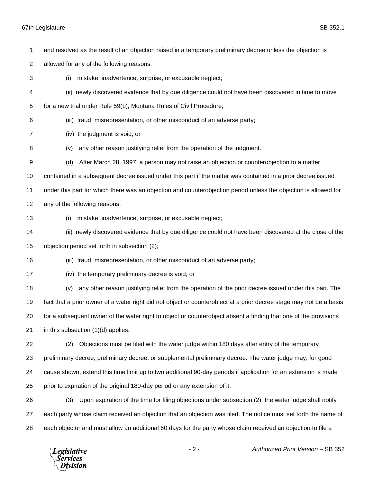## 67th Legislature SB 352.1

and resolved as the result of an objection raised in a temporary preliminary decree unless the objection is

allowed for any of the following reasons:

 (i) mistake, inadvertence, surprise, or excusable neglect; (ii) newly discovered evidence that by due diligence could not have been discovered in time to move for a new trial under Rule 59(b), Montana Rules of Civil Procedure; (iii) fraud, misrepresentation, or other misconduct of an adverse party; (iv) the judgment is void; or (v) any other reason justifying relief from the operation of the judgment. (d) After March 28, 1997, a person may not raise an objection or counterobjection to a matter contained in a subsequent decree issued under this part if the matter was contained in a prior decree issued under this part for which there was an objection and counterobjection period unless the objection is allowed for any of the following reasons: (i) mistake, inadvertence, surprise, or excusable neglect; (ii) newly discovered evidence that by due diligence could not have been discovered at the close of the objection period set forth in subsection (2); (iii) fraud, misrepresentation, or other misconduct of an adverse party; (iv) the temporary preliminary decree is void; or (v) any other reason justifying relief from the operation of the prior decree issued under this part. The fact that a prior owner of a water right did not object or counterobject at a prior decree stage may not be a basis for a subsequent owner of the water right to object or counterobject absent a finding that one of the provisions in this subsection (1)(d) applies. (2) Objections must be filed with the water judge within 180 days after entry of the temporary preliminary decree, preliminary decree, or supplemental preliminary decree. The water judge may, for good cause shown, extend this time limit up to two additional 90-day periods if application for an extension is made prior to expiration of the original 180-day period or any extension of it. (3) Upon expiration of the time for filing objections under subsection (2), the water judge shall notify each party whose claim received an objection that an objection was filed. The notice must set forth the name of

each objector and must allow an additional 60 days for the party whose claim received an objection to file a

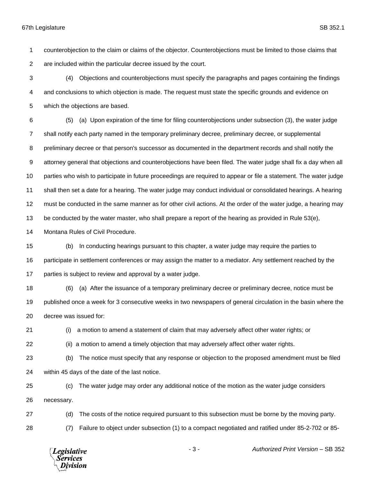counterobjection to the claim or claims of the objector. Counterobjections must be limited to those claims that are included within the particular decree issued by the court.

 (4) Objections and counterobjections must specify the paragraphs and pages containing the findings and conclusions to which objection is made. The request must state the specific grounds and evidence on which the objections are based.

 (5) (a) Upon expiration of the time for filing counterobjections under subsection (3), the water judge shall notify each party named in the temporary preliminary decree, preliminary decree, or supplemental preliminary decree or that person's successor as documented in the department records and shall notify the attorney general that objections and counterobjections have been filed. The water judge shall fix a day when all parties who wish to participate in future proceedings are required to appear or file a statement. The water judge shall then set a date for a hearing. The water judge may conduct individual or consolidated hearings. A hearing must be conducted in the same manner as for other civil actions. At the order of the water judge, a hearing may be conducted by the water master, who shall prepare a report of the hearing as provided in Rule 53(e),

Montana Rules of Civil Procedure.

 (b) In conducting hearings pursuant to this chapter, a water judge may require the parties to participate in settlement conferences or may assign the matter to a mediator. Any settlement reached by the parties is subject to review and approval by a water judge.

 (6) (a) After the issuance of a temporary preliminary decree or preliminary decree, notice must be published once a week for 3 consecutive weeks in two newspapers of general circulation in the basin where the decree was issued for:

(i) a motion to amend a statement of claim that may adversely affect other water rights; or

(ii) a motion to amend a timely objection that may adversely affect other water rights.

 (b) The notice must specify that any response or objection to the proposed amendment must be filed within 45 days of the date of the last notice.

 (c) The water judge may order any additional notice of the motion as the water judge considers necessary.

(d) The costs of the notice required pursuant to this subsection must be borne by the moving party.

(7) Failure to object under subsection (1) to a compact negotiated and ratified under 85-2-702 or 85-

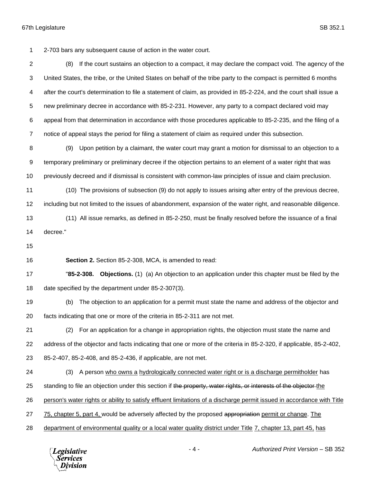2-703 bars any subsequent cause of action in the water court.

 (8) If the court sustains an objection to a compact, it may declare the compact void. The agency of the United States, the tribe, or the United States on behalf of the tribe party to the compact is permitted 6 months after the court's determination to file a statement of claim, as provided in 85-2-224, and the court shall issue a new preliminary decree in accordance with 85-2-231. However, any party to a compact declared void may appeal from that determination in accordance with those procedures applicable to 85-2-235, and the filing of a notice of appeal stays the period for filing a statement of claim as required under this subsection.

 (9) Upon petition by a claimant, the water court may grant a motion for dismissal to an objection to a temporary preliminary or preliminary decree if the objection pertains to an element of a water right that was previously decreed and if dismissal is consistent with common-law principles of issue and claim preclusion.

 (10) The provisions of subsection (9) do not apply to issues arising after entry of the previous decree, including but not limited to the issues of abandonment, expansion of the water right, and reasonable diligence.

- (11) All issue remarks, as defined in 85-2-250, must be finally resolved before the issuance of a final decree."
- 

**Section 2.** Section 85-2-308, MCA, is amended to read:

 "**85-2-308. Objections.** (1) (a) An objection to an application under this chapter must be filed by the date specified by the department under 85-2-307(3).

 (b) The objection to an application for a permit must state the name and address of the objector and facts indicating that one or more of the criteria in 85-2-311 are not met.

 (2) For an application for a change in appropriation rights, the objection must state the name and address of the objector and facts indicating that one or more of the criteria in 85-2-320, if applicable, 85-2-402, 85-2-407, 85-2-408, and 85-2-436, if applicable, are not met.

(3) A person who owns a hydrologically connected water right or is a discharge permitholder has

25 standing to file an objection under this section if the property, water rights, or interests of the objector the

person's water rights or ability to satisfy effluent limitations of a discharge permit issued in accordance with Title

27 75, chapter 5, part 4, would be adversely affected by the proposed appropriation permit or change. The

department of environmental quality or a local water quality district under Title 7, chapter 13, part 45, has